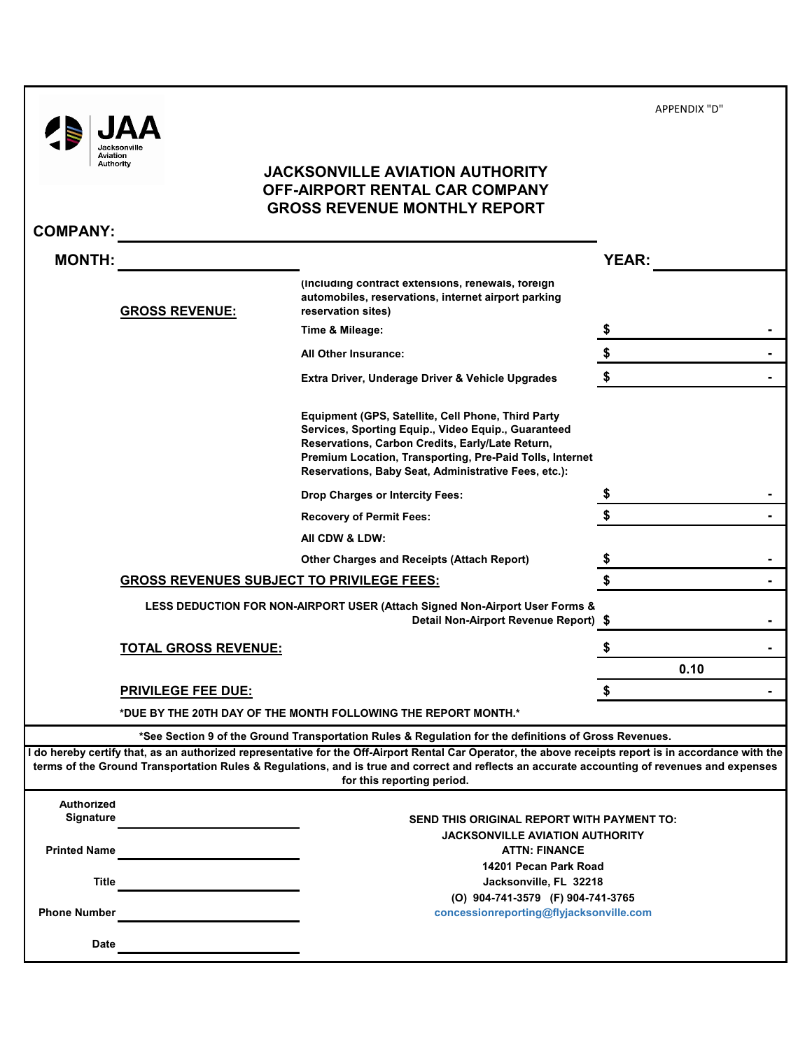APPENDIX "D"

| <b>JACKSONVILLE AVIATION AUTHORITY</b> |
|----------------------------------------|
| OFF-AIRPORT RENTAL CAR COMPANY         |
| <b>GROSS REVENUE MONTHLY REPORT</b>    |

|  | <b>COMPANY:</b> |  |  |
|--|-----------------|--|--|
|--|-----------------|--|--|

 $\begin{tabular}{|c|c|} \hline & {\bf{JAA}} \\ \hline \hline {\bf{J}} \\ \hline \textit{National} \\ \hline \textit{A} \\ \hline \textit{A} \\ \hline \textit{A} \\ \hline \textit{A} \\ \hline \end{tabular}$ 

| <b>MONTH:</b>       |                                                  |                                                                                                                                                                                                                                                                                                                                      | <b>YEAR:</b> |    |
|---------------------|--------------------------------------------------|--------------------------------------------------------------------------------------------------------------------------------------------------------------------------------------------------------------------------------------------------------------------------------------------------------------------------------------|--------------|----|
|                     | <b>GROSS REVENUE:</b>                            | (Including contract extensions, renewals, foreign<br>automobiles, reservations, internet airport parking<br>reservation sites)                                                                                                                                                                                                       |              |    |
|                     |                                                  | Time & Mileage:                                                                                                                                                                                                                                                                                                                      |              |    |
|                     |                                                  | All Other Insurance:                                                                                                                                                                                                                                                                                                                 |              |    |
|                     |                                                  | Extra Driver, Underage Driver & Vehicle Upgrades                                                                                                                                                                                                                                                                                     |              |    |
|                     |                                                  | Equipment (GPS, Satellite, Cell Phone, Third Party<br>Services, Sporting Equip., Video Equip., Guaranteed<br>Reservations, Carbon Credits, Early/Late Return,<br>Premium Location, Transporting, Pre-Paid Tolls, Internet<br>Reservations, Baby Seat, Administrative Fees, etc.):                                                    |              |    |
|                     |                                                  | <b>Drop Charges or Intercity Fees:</b>                                                                                                                                                                                                                                                                                               |              |    |
|                     |                                                  | <b>Recovery of Permit Fees:</b>                                                                                                                                                                                                                                                                                                      |              |    |
|                     |                                                  | AII CDW & LDW:                                                                                                                                                                                                                                                                                                                       |              |    |
|                     |                                                  | <b>Other Charges and Receipts (Attach Report)</b>                                                                                                                                                                                                                                                                                    |              |    |
|                     | <b>GROSS REVENUES SUBJECT TO PRIVILEGE FEES:</b> |                                                                                                                                                                                                                                                                                                                                      | \$           |    |
|                     |                                                  | LESS DEDUCTION FOR NON-AIRPORT USER (Attach Signed Non-Airport User Forms &<br>Detail Non-Airport Revenue Report) \$                                                                                                                                                                                                                 |              | ۰  |
|                     | <b>TOTAL GROSS REVENUE:</b>                      |                                                                                                                                                                                                                                                                                                                                      |              |    |
|                     |                                                  |                                                                                                                                                                                                                                                                                                                                      | 0.10         |    |
|                     | <b>PRIVILEGE FEE DUE:</b>                        |                                                                                                                                                                                                                                                                                                                                      | S            | Ξ. |
|                     |                                                  | *DUE BY THE 20TH DAY OF THE MONTH FOLLOWING THE REPORT MONTH.*                                                                                                                                                                                                                                                                       |              |    |
|                     |                                                  | *See Section 9 of the Ground Transportation Rules & Regulation for the definitions of Gross Revenues.                                                                                                                                                                                                                                |              |    |
|                     |                                                  | l do hereby certify that, as an authorized representative for the Off-Airport Rental Car Operator, the above receipts report is in accordance with the<br>terms of the Ground Transportation Rules & Regulations, and is true and correct and reflects an accurate accounting of revenues and expenses<br>for this reporting period. |              |    |
| <b>Authorized</b>   |                                                  |                                                                                                                                                                                                                                                                                                                                      |              |    |
| <b>Signature</b>    |                                                  | <b>SEND THIS ORIGINAL REPORT WITH PAYMENT TO:</b>                                                                                                                                                                                                                                                                                    |              |    |
| <b>Printed Name</b> |                                                  | JACKSONVILLE AVIATION AUTHORITY<br><b>ATTN: FINANCE</b>                                                                                                                                                                                                                                                                              |              |    |
| <b>Title</b>        |                                                  | 14201 Pecan Park Road<br>Jacksonville, FL 32218                                                                                                                                                                                                                                                                                      |              |    |
| <b>Phone Number</b> |                                                  | (O) 904-741-3579 (F) 904-741-3765<br>concessionreporting@flyjacksonville.com                                                                                                                                                                                                                                                         |              |    |
| Date                |                                                  |                                                                                                                                                                                                                                                                                                                                      |              |    |